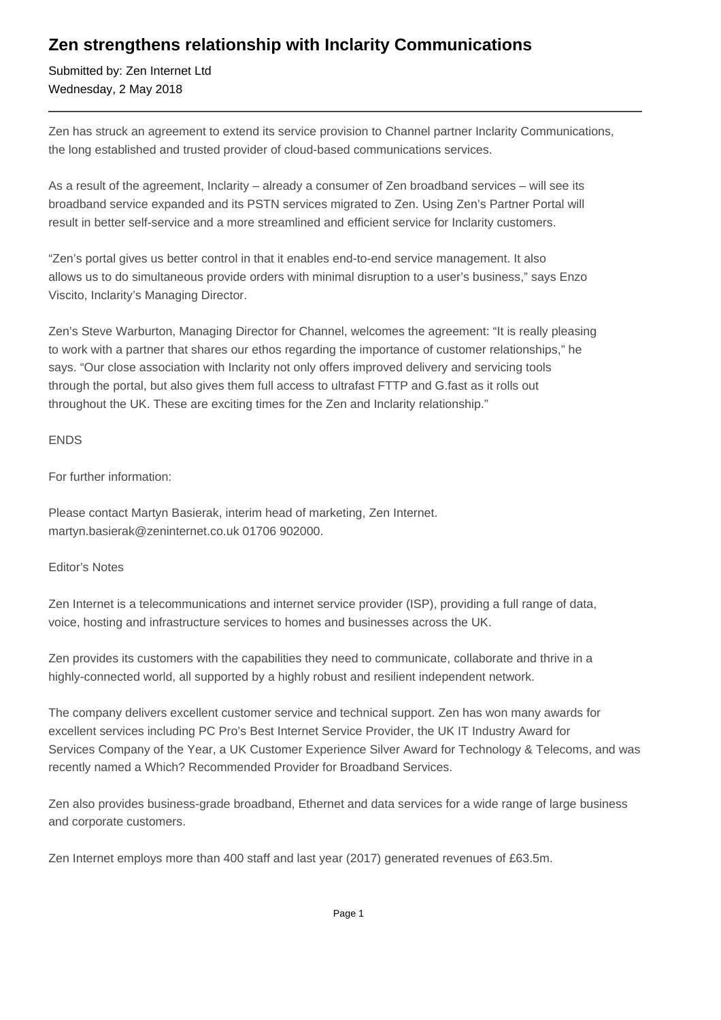## **Zen strengthens relationship with Inclarity Communications**

Submitted by: Zen Internet Ltd Wednesday, 2 May 2018

Zen has struck an agreement to extend its service provision to Channel partner Inclarity Communications, the long established and trusted provider of cloud-based communications services.

As a result of the agreement, Inclarity – already a consumer of Zen broadband services – will see its broadband service expanded and its PSTN services migrated to Zen. Using Zen's Partner Portal will result in better self-service and a more streamlined and efficient service for Inclarity customers.

"Zen's portal gives us better control in that it enables end-to-end service management. It also allows us to do simultaneous provide orders with minimal disruption to a user's business," says Enzo Viscito, Inclarity's Managing Director.

Zen's Steve Warburton, Managing Director for Channel, welcomes the agreement: "It is really pleasing to work with a partner that shares our ethos regarding the importance of customer relationships," he says. "Our close association with Inclarity not only offers improved delivery and servicing tools through the portal, but also gives them full access to ultrafast FTTP and G.fast as it rolls out throughout the UK. These are exciting times for the Zen and Inclarity relationship."

ENDS

For further information:

Please contact Martyn Basierak, interim head of marketing, Zen Internet. martyn.basierak@zeninternet.co.uk 01706 902000.

Editor's Notes

Zen Internet is a telecommunications and internet service provider (ISP), providing a full range of data, voice, hosting and infrastructure services to homes and businesses across the UK.

Zen provides its customers with the capabilities they need to communicate, collaborate and thrive in a highly-connected world, all supported by a highly robust and resilient independent network.

The company delivers excellent customer service and technical support. Zen has won many awards for excellent services including PC Pro's Best Internet Service Provider, the UK IT Industry Award for Services Company of the Year, a UK Customer Experience Silver Award for Technology & Telecoms, and was recently named a Which? Recommended Provider for Broadband Services.

Zen also provides business-grade broadband, Ethernet and data services for a wide range of large business and corporate customers.

Zen Internet employs more than 400 staff and last year (2017) generated revenues of £63.5m.